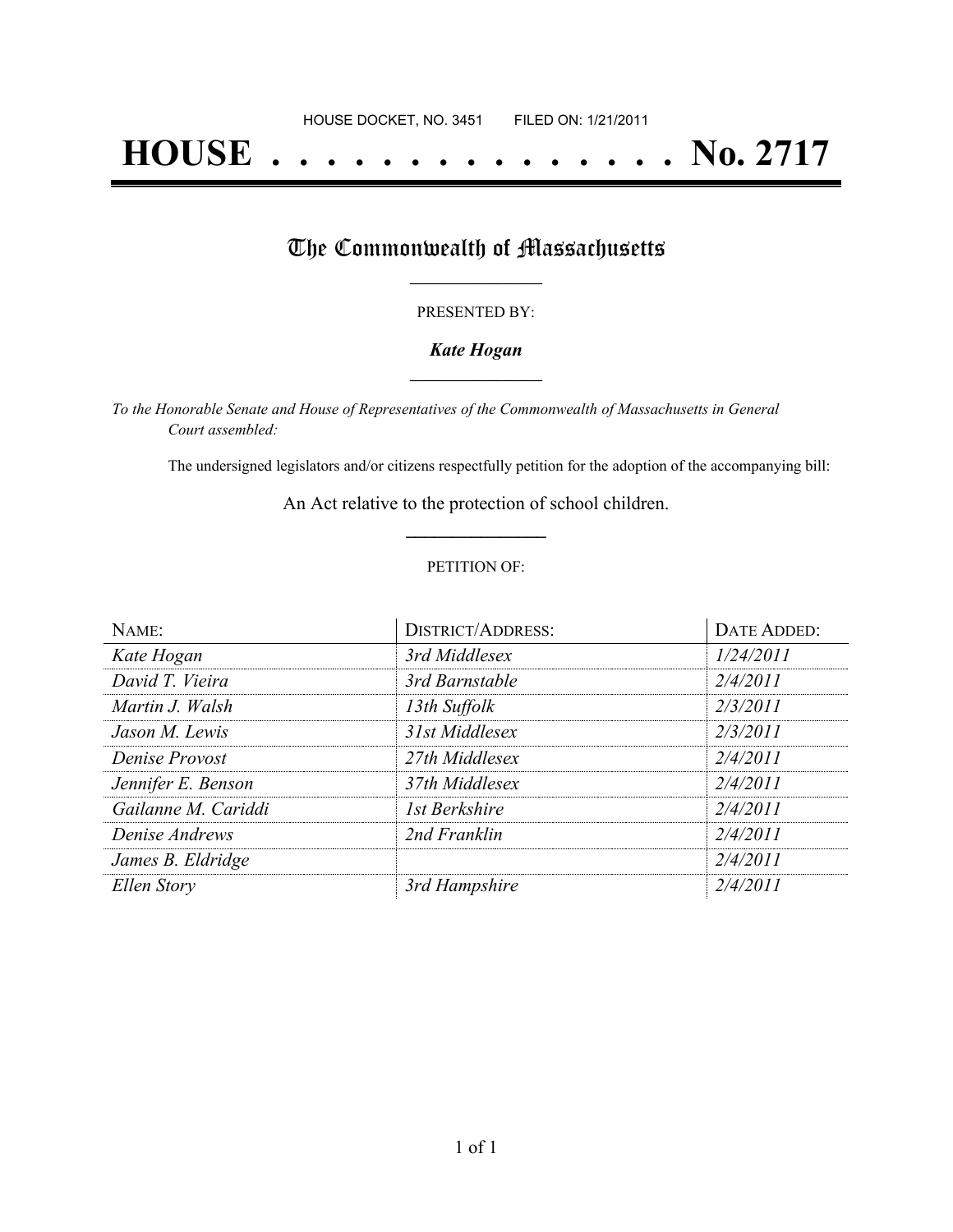# **HOUSE . . . . . . . . . . . . . . . No. 2717**

# The Commonwealth of Massachusetts

#### PRESENTED BY:

## *Kate Hogan* **\_\_\_\_\_\_\_\_\_\_\_\_\_\_\_\_\_**

*To the Honorable Senate and House of Representatives of the Commonwealth of Massachusetts in General Court assembled:*

The undersigned legislators and/or citizens respectfully petition for the adoption of the accompanying bill:

An Act relative to the protection of school children. **\_\_\_\_\_\_\_\_\_\_\_\_\_\_\_**

### PETITION OF:

| NAME:               | <b>DISTRICT/ADDRESS:</b> | <b>DATE ADDED:</b> |
|---------------------|--------------------------|--------------------|
| Kate Hogan          | 3rd Middlesex            | 1/24/2011          |
| David T. Vieira     | 3rd Barnstable           | 2/4/2011           |
| Martin J. Walsh     | 13th Suffolk             | 2/3/2011           |
| Jason M. Lewis      | 31st Middlesex           | 2/3/2011           |
| Denise Provost      | 27th Middlesex           | 2/4/2011           |
| Jennifer E. Benson  | 37th Middlesex           | 2/4/2011           |
| Gailanne M. Cariddi | 1st Berkshire            | 2/4/2011           |
| Denise Andrews      | 2nd Franklin             | 2/4/2011           |
| James B. Eldridge   |                          | 2/4/2011           |
| Ellen Story         | 3rd Hampshire            | 2/4/2011           |